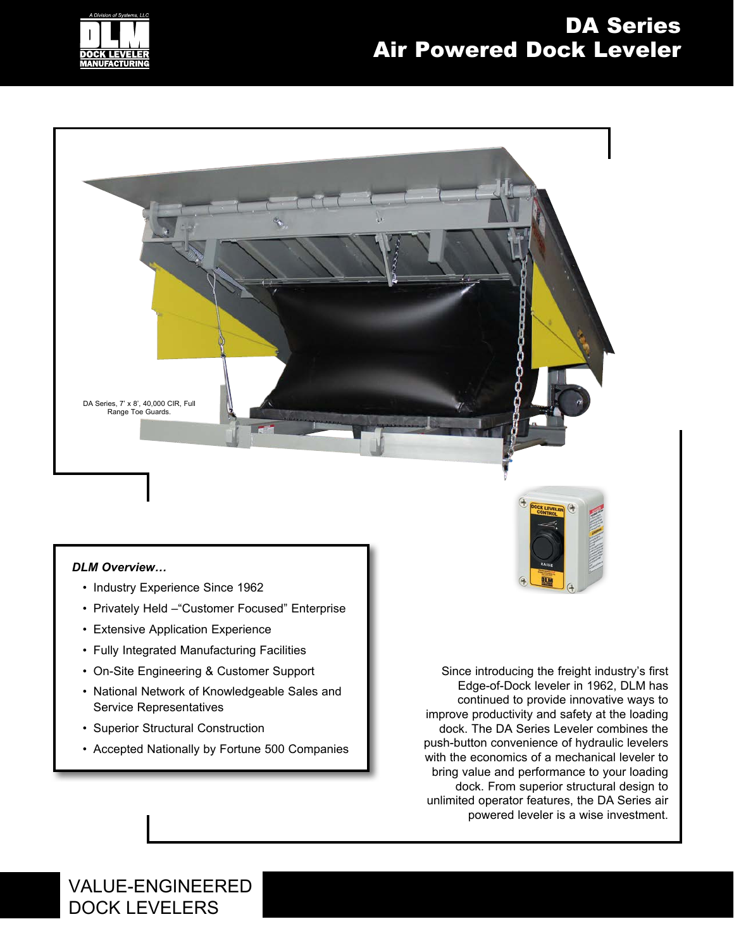

## DA Series Air Powered Dock Leveler



#### *DLM Overview…*

- Industry Experience Since 1962
- Privately Held –"Customer Focused" Enterprise
- Extensive Application Experience
- Fully Integrated Manufacturing Facilities
- On-Site Engineering & Customer Support
- National Network of Knowledgeable Sales and Service Representatives
- Superior Structural Construction
- Accepted Nationally by Fortune 500 Companies

Since introducing the freight industry's first Edge-of-Dock leveler in 1962, DLM has continued to provide innovative ways to improve productivity and safety at the loading dock. The DA Series Leveler combines the push-button convenience of hydraulic levelers with the economics of a mechanical leveler to bring value and performance to your loading dock. From superior structural design to unlimited operator features, the DA Series air powered leveler is a wise investment.

VALUE-ENGINEERED DOCK LEVELERS